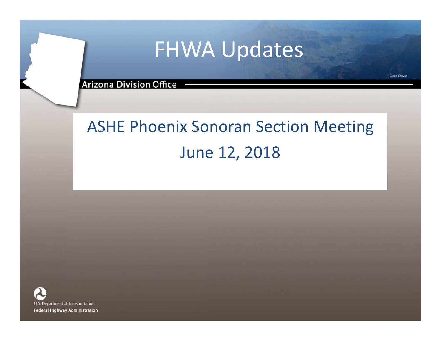# FHWA Updates

**Grand Canyon** 

**Arizona Division Office -**

### ASHE Phoenix Sonoran Section Meeting June 12, 2018

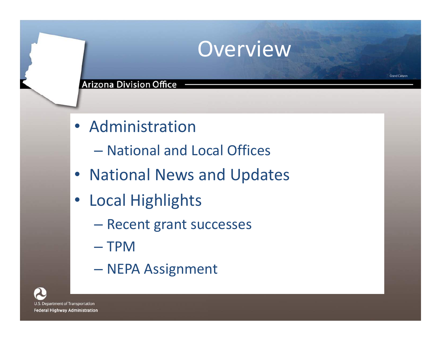### **Overview**

- Administration
	- National and Local Offices
- National News and Updates
- Local Highlights
	- Recent grant successes
	- TPM
	- NEPA Assignment

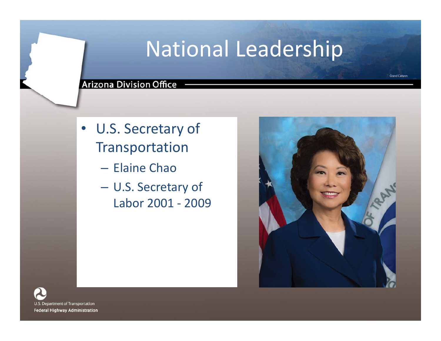# National Leadership

**Grand Canyon** 

- U.S. Secretary of Transportation
	- Elaine Chao
	- U.S. Secretary of Labor 2001 - 2009



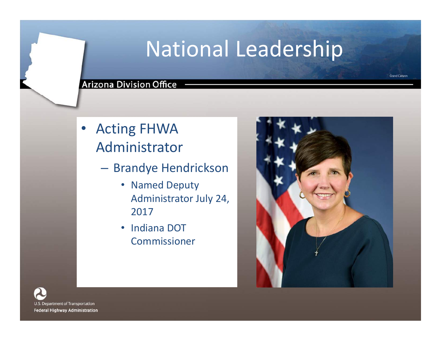# National Leadership

#### **Grand Canyon**

### **Arizona Division Office -**

- Acting FHWA Administrator
	- Brandye Hendrickson
		- Named Deputy Administrator July 24, 2017
		- Indiana DOT Commissioner

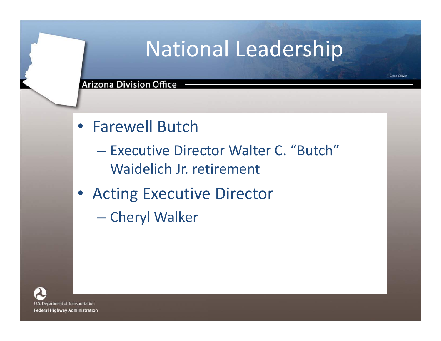# National Leadership

- Farewell Butch
	- Executive Director Walter C. "Butch" Waidelich Jr. retirement
- Acting Executive Director
	- Cheryl Walker

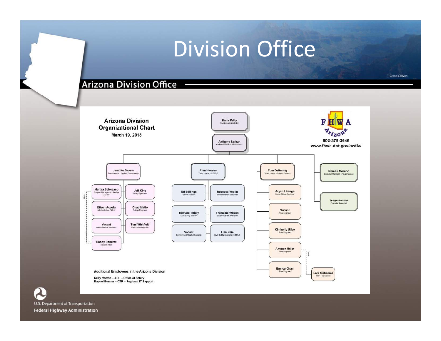# Division Office

**Grand Canyon** 

### Arizona Division Office -

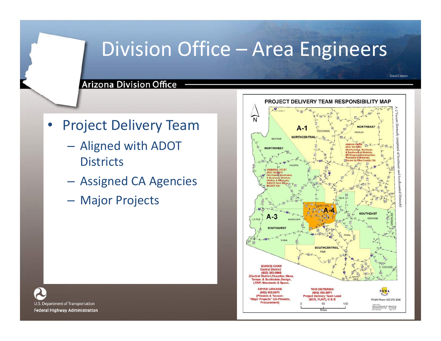### Division Office – Area Engineers

Arizona Division Office -

- Project Delivery Team
	- Aligned with ADOT **Districts**
	- Assigned CA Agencies
	- Major Projects



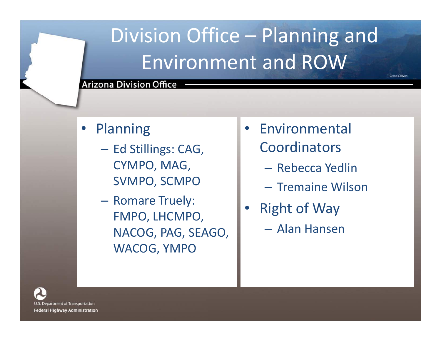# Division Office – Planning and Environment and ROW

### **Arizona Division Office**

- **Planning** 
	- Ed Stillings: CAG, CYMPO, MAG, SVMPO, SCMPO
	- Romare Truely: FMPO, LHCMPO, NACOG, PAG, SEAGO, WACOG, YMPO
- Environmental Coordinators
	- Rebecca Yedlin
	- Tremaine Wilson

- **Right of Way** 
	- Alan Hansen

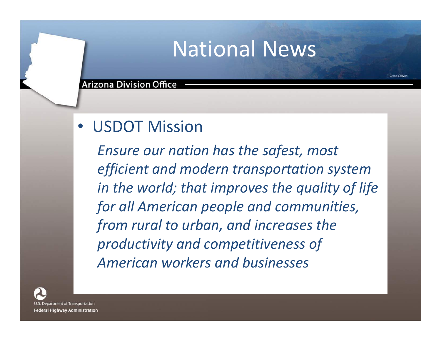### National News

Grand Canyon

#### **Arizona Division Office**

### • USDOT Mission

*Ensure our nation has the safest, most efficient and modern transportation system in the world; that improves the quality of life for all American people and communities, from rural to urban, and increases the productivity and competitiveness of American workers and businesses*

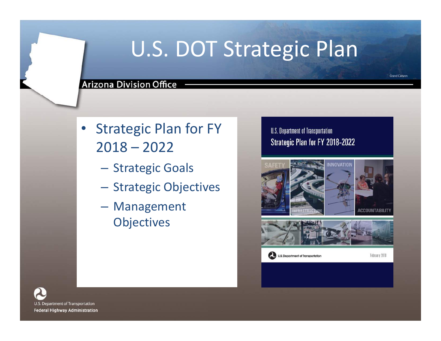# U.S. DOT Strategic Plan

#### **Arizona Division Office**

- **Strategic Plan for FY** 2018 – 2022
	- Strategic Goals
	- Strategic Objectives
	- Management **Objectives**

### U.S. Department of Transportation Strategic Plan for FY 2018-2022



U.S. Department of Transportation

February 2018

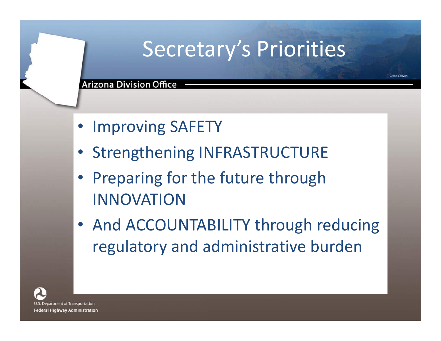# Secretary's Priorities

Grand Canyon

**Arizona Division Office** 

- Improving SAFETY
- Strengthening INFRASTRUCTURE
- Preparing for the future through INNOVATION
- And ACCOUNTABILITY through reducing regulatory and administrative burden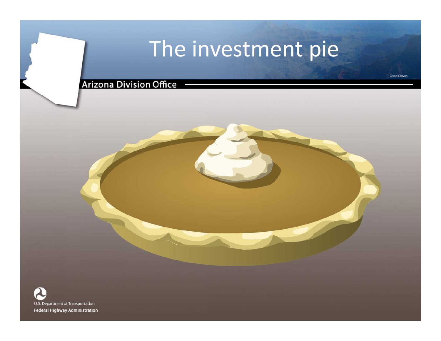# The investment pie

**Grand Canyon** 

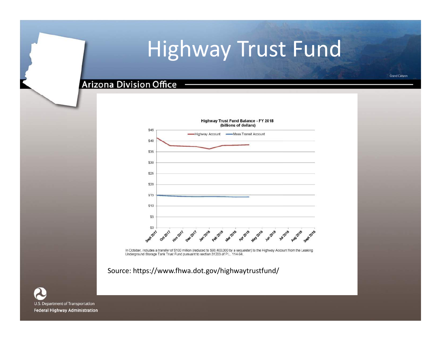# Highway Trust Fund

### **Arizona Division Office**



In October, includes a transfer of \$100 million (reduced to \$93,400,000 by a sequester) to the Highway Account from the Leaking Underground Storage Tank Trust Fund pursuant to section 31203 of P.L. 114-94.

Source: https://www.fhwa.dot.gov/highwaytrustfund/

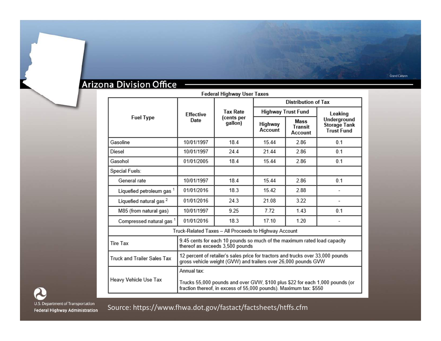### Arizona Division Office -

| Federal Highway User Taxes                            |                                                                                                                                                                  |                                          |                            |                            |                                                         |  |
|-------------------------------------------------------|------------------------------------------------------------------------------------------------------------------------------------------------------------------|------------------------------------------|----------------------------|----------------------------|---------------------------------------------------------|--|
| <b>Fuel Type</b>                                      | <b>Effective</b><br>Date                                                                                                                                         | <b>Tax Rate</b><br>(cents per<br>gallon) | <b>Distribution of Tax</b> |                            |                                                         |  |
|                                                       |                                                                                                                                                                  |                                          | <b>Highway Trust Fund</b>  |                            | Leaking                                                 |  |
|                                                       |                                                                                                                                                                  |                                          | Highway<br>Account         | Mass<br>Transit<br>Account | Underground<br><b>Storage Tank</b><br><b>Trust Fund</b> |  |
| Gasoline                                              | 10/01/1997                                                                                                                                                       | 18.4                                     | 15.44                      | 286                        | 0.1                                                     |  |
| Diesel                                                | 10/01/1997                                                                                                                                                       | 244                                      | 21.44                      | 2.86                       | 0.1                                                     |  |
| Gasohol                                               | 01/01/2005                                                                                                                                                       | 18.4                                     | 15.44                      | 2.86                       | 0.1                                                     |  |
| Special Fuels:                                        |                                                                                                                                                                  |                                          |                            |                            |                                                         |  |
| General rate                                          | 10/01/1997                                                                                                                                                       | 184                                      | 1544                       | 286                        | 0 <sub>1</sub>                                          |  |
| Liquefied petroleum gas 1                             | 01/01/2016                                                                                                                                                       | 18.3                                     | 15.42                      | 288                        |                                                         |  |
| Liquefied natural gas <sup>2</sup>                    | 01/01/2016                                                                                                                                                       | 24.3                                     | 21.08                      | 3.22                       | $\qquad \qquad \blacksquare$                            |  |
| M85 (from natural gas)                                | 10/01/1997                                                                                                                                                       | 9.25                                     | 7.72                       | 143                        | 0.1                                                     |  |
| Compressed natural gas <sup>1</sup>                   | 01/01/2016                                                                                                                                                       | 18.3                                     | 17.10                      | 1.20                       |                                                         |  |
| Truck-Related Taxes - All Proceeds to Highway Account |                                                                                                                                                                  |                                          |                            |                            |                                                         |  |
| <b>Tire Tax</b>                                       | 9.45 cents for each 10 pounds so much of the maximum rated load capacity<br>thereof as exceeds 3,500 pounds                                                      |                                          |                            |                            |                                                         |  |
| <b>Truck and Trailer Sales Tax</b>                    | 12 percent of retailer's sales price for tractors and trucks over 33,000 pounds<br>gross vehicle weight (GVW) and trailers over 26,000 pounds GVW                |                                          |                            |                            |                                                         |  |
| Heavy Vehicle Use Tax                                 | Annual tax:<br>Trucks 55,000 pounds and over GVW, \$100 plus \$22 for each 1,000 pounds (or<br>fraction thereof, in excess of 55,000 pounds). Maximum tax: \$550 |                                          |                            |                            |                                                         |  |

U.S. Department of Transportation Federal Highway Administration

Source: https://www.fhwa.dot.gov/fastact/factsheets/htffs.cfm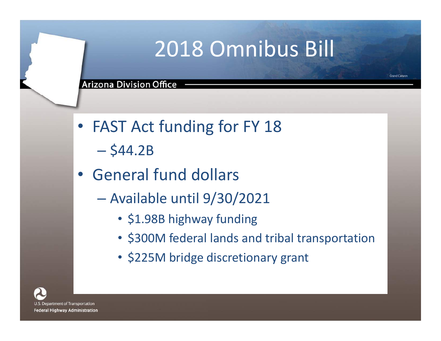# 2018 Omnibus Bill

**Grand Canyon** 

- FAST Act funding for FY 18
	- $-$  \$44.2B
- General fund dollars
	- Available until 9/30/2021
		- \$1.98B highway funding
		- \$300M federal lands and tribal transportation
		- \$225M bridge discretionary grant

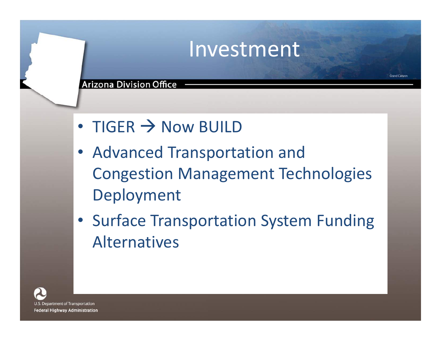### Investment

Grand Canyon

### **Arizona Division Office**

- TIGER  $\rightarrow$  Now BUILD
- Advanced Transportation and Congestion Management Technologies Deployment
- Surface Transportation System Funding Alternatives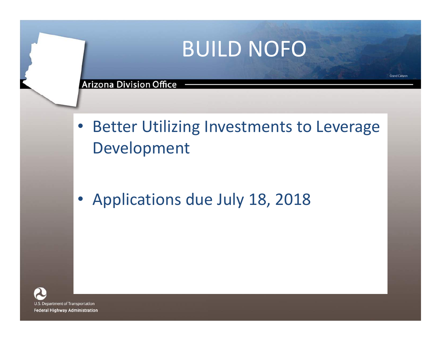# BUILD NOFO

#### **Arizona Division Office**

- Better Utilizing Investments to Leverage Development
- Applications due July 18, 2018

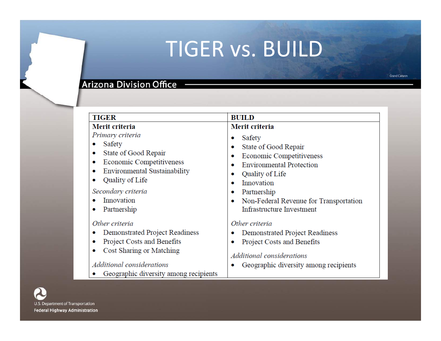# TIGER vs. BUILD

### Arizona Division Office -

| <b>TIGER</b>                                                                                                                                                                                             | <b>BUILD</b>                                                                                                                                                                                                                                                         |  |  |
|----------------------------------------------------------------------------------------------------------------------------------------------------------------------------------------------------------|----------------------------------------------------------------------------------------------------------------------------------------------------------------------------------------------------------------------------------------------------------------------|--|--|
| Merit criteria                                                                                                                                                                                           | Merit criteria                                                                                                                                                                                                                                                       |  |  |
| Primary criteria<br>Safety<br>State of Good Repair<br>۰<br>Economic Competitiveness<br>۰<br>Environmental Sustainability<br>۰<br>Quality of Life<br>Secondary criteria<br>Innovation<br>Partnership<br>۰ | Safety<br>۰<br>State of Good Repair<br>۰<br>Economic Competitiveness<br>۰<br><b>Environmental Protection</b><br>۰<br>Quality of Life<br>۰<br>Innovation<br>$\bullet$<br>Partnership<br>۰<br>Non-Federal Revenue for Transportation<br>۰<br>Infrastructure Investment |  |  |
| Other criteria<br>Demonstrated Project Readiness<br>۰<br>Project Costs and Benefits<br>۰<br>Cost Sharing or Matching<br>۰<br>Additional considerations<br>Geographic diversity among recipients          | Other criteria<br>Demonstrated Project Readiness<br>Project Costs and Benefits<br>۰<br>Additional considerations<br>Geographic diversity among recipients                                                                                                            |  |  |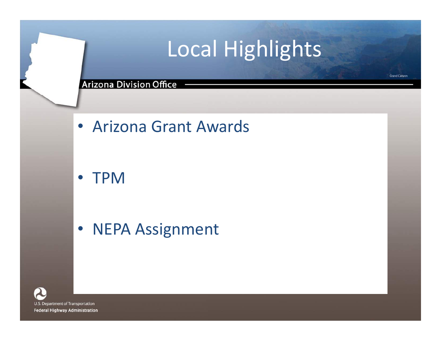# Local Highlights

### **Arizona Division Office**

• Arizona Grant Awards

• TPM

• NEPA Assignment

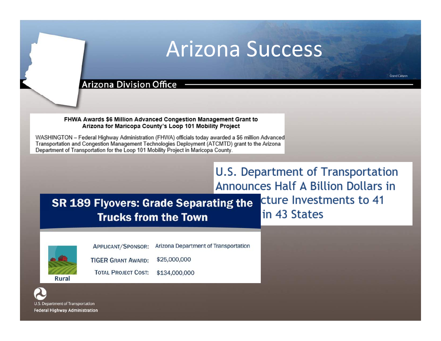### Arizona Success

#### **Arizona Division Office**

FHWA Awards \$6 Million Advanced Congestion Management Grant to Arizona for Maricopa County's Loop 101 Mobility Project

WASHINGTON - Federal Highway Administration (FHWA) officials today awarded a \$6 million Advanced Transportation and Congestion Management Technologies Deployment (ATCMTD) grant to the Arizona Department of Transportation for the Loop 101 Mobility Project in Maricopa County.

### **U.S. Department of Transportation Announces Half A Billion Dollars in**

**SR 189 Flyovers: Grade Separating the Trucks from the Town** 

\$134,000,000

cture Investments to 41 in 43 States



APPLICANT/SPONSOR:

Arizona Department of Transportation

**TIGER GRANT AWARD:** \$25,000,000

**TOTAL PROJECT COST:** 

Rura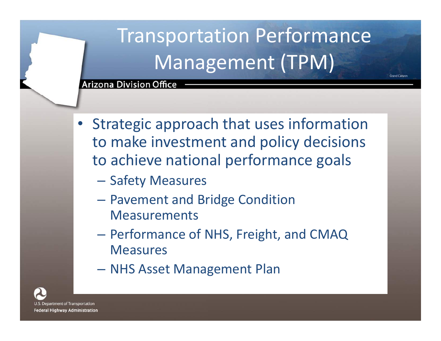# Transportation Performance Management (TPM)

Grand Canve

- Strategic approach that uses information to make investment and policy decisions to achieve national performance goals
	- Safety Measures
	- Pavement and Bridge Condition **Measurements**
	- Performance of NHS, Freight, and CMAQ Measures
	- NHS Asset Management Plan

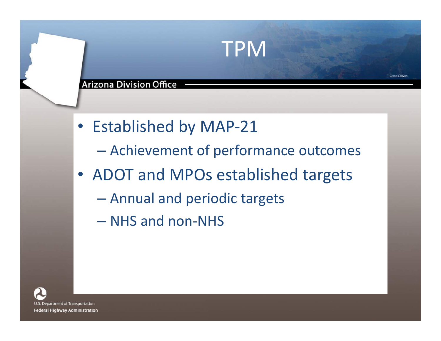### **Arizona Division Office**

- Established by MAP-21
	- Achievement of performance outcomes

TPM

- ADOT and MPOs established targets
	- Annual and periodic targets
	- NHS and non-NHS

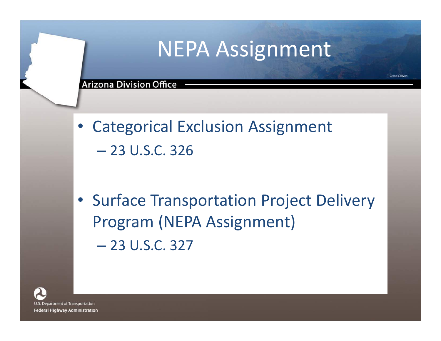## NEPA Assignment

**Grand Canvor** 

- Categorical Exclusion Assignment – 23 U.S.C. 326
- Surface Transportation Project Delivery Program (NEPA Assignment) – 23 U.S.C. 327

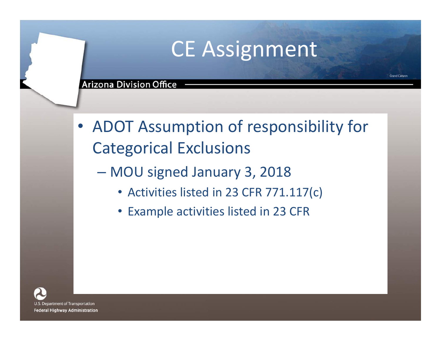# CE Assignment

**Grand Canyon** 

- ADOT Assumption of responsibility for Categorical Exclusions
	- MOU signed January 3, 2018
		- Activities listed in 23 CFR 771.117(c)
		- Example activities listed in 23 CFR

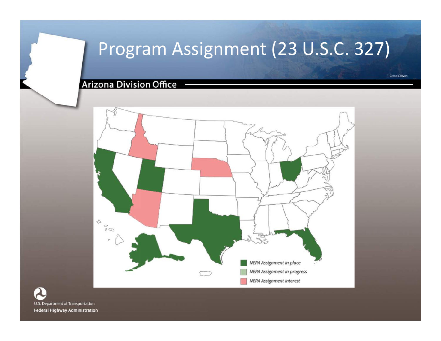### Program Assignment (23 U.S.C. 327)

**Arizona Division Office** 



U.S. Department of Transportation **Federal Highway Administration**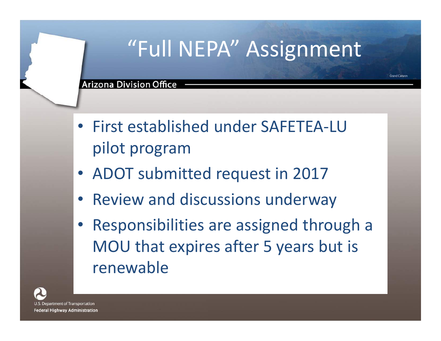# "Full NEPA" Assignment

Grand Canyon

- First established under SAFETEA-LU pilot program
- ADOT submitted request in 2017
- Review and discussions underway
- Responsibilities are assigned through a MOU that expires after 5 years but is renewable